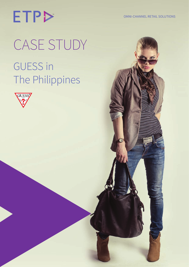OMNI-CHANNEL RETAIL SOLUTIONS

# **ETP>** CASE STUDY GUESS in The Philippines

 $E = \mathbb{E}[\mathbf{e}_i]$  in the Philippines Getting It Right In Retail It Right In Retail It Right In Retail It Right In Retail It Right In Retail It Right In Retail It Right In Retail It Right In Retail It Right In Retail It R

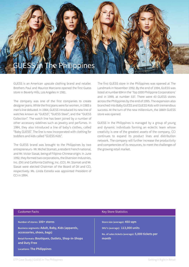

GUESS is an American upscale clothing brand and retailer. Brothers Paul and Maurice Marciano opened the first Guess store in Beverly Hills, Los Angeles in 1981.

The company was one of the first companies to create designer jeans. While the first jeans were for women, in 1983 a men's line debuted. In 1984, GUESS introduced its new line of watches known as "GUESS", "GUESS Steel", and the "GUESS Collection". The watch line has been joined by a number of other accessory sidelines such as jewelry and perfumes. In 1984, they also introduced a line of baby's clothes, called "Baby GUESS". The line is now incorporated with clothing for toddlers and kids called "GUESS Kids".

The GUESS brand was brought to the Philippines by two entrepreneurs - Mr. Michel Stamati, a resident French national, and Mr. Victor Siasat, being of Filipino-Chinese origin. In June 1992, they formed two corporations, the Diversion Industries, Inc. (DII) and California Clothing, Inc. (CCI). Mr. Stamati and Mr. Siasat were elected Chairman of the Board of DII and CCI, respectively. Ms. Linda Estrella was appointed President of CCI in 1994.

The first GUESS store in the Philippines was opened at The Landmark in November 1992. By the end of 1994, GUESS was listed at number 694 in the 'Top 1000 Philippine Corporations' and in 1999, at number 537. There were 43 GUESS stores across the Philippines by the end of 1995. The expansion also branched into Baby GUESS and GUESS Kids with tremendous success. At the turn of the new millennium, the 106th GUESS store was opened.

GUESS in the Philippines is managed by a group of young and dynamic individuals forming an eclectic team whose creativity is one of the greatest assets of the company. CCI continues to expand its product lines and distribution network. The company will further increase the productivity and competencies of its resources, to meet the challenges of the growing retail market.

| <b>Customer Facts</b>                                                                                                                                                                                                    | <b>Key Store Statistics</b>                                                                                                   |
|--------------------------------------------------------------------------------------------------------------------------------------------------------------------------------------------------------------------------|-------------------------------------------------------------------------------------------------------------------------------|
| Number of stores: 100+ stores<br>Business segments: Adult, Baby, Kids (apparels,<br>accessories, shoes, bags)<br>Retail formats: Boutiques, Outlets, Shop-in-Shops<br>and Duty Free<br><b>Locations: The Philippines</b> | Store size (average): 450 sqm<br>SKU's (average): 113,000 units<br>No. of sales tickets (average): 5,000 tickets per<br>month |
|                                                                                                                                                                                                                          |                                                                                                                               |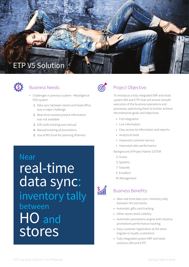



### Business Needs:

- • Challenges in previous system Retailigence POS system
	- 1. Data sync between stores and head office was a major challenge
	- 2. Real-time inventory/stock information was not available
	- 3. Gift cards tracking was manual
	- 4. Manual tracking of promotions
	- 5. Use of MS-Excel for planning (Planner)

Near real-time data sync: inventory tally between HO and stores



## Project Objective:

To introduce a fully integrated ERP and retail system (M3 and ETP) that will ensure smooth execution of the business operations and processes, optimizing them to further achieve the enterprise goals and objectives

- Full integration
- • Live information
- • Easy access to information and reports
- • Analytical tools
- • Improved customer service
- • Improved sales performance

Background of Project Name: GSTEM

- G: Guess
- S: Systems
- T: Towards
- E: Excellent
- M: Management



### Business Benefits:

- Near real-time data sync: Inventory tally between HO and stores
- • Automatic gifts card tracking
- Other stores stock visibility
- • Automatic promotions engine with intuitive promotions performance tracking
- • Easy customer registration at the store (regular or loyalty customers)
- • Fully integrated system ERP and retail solutions (M3 and ETP)